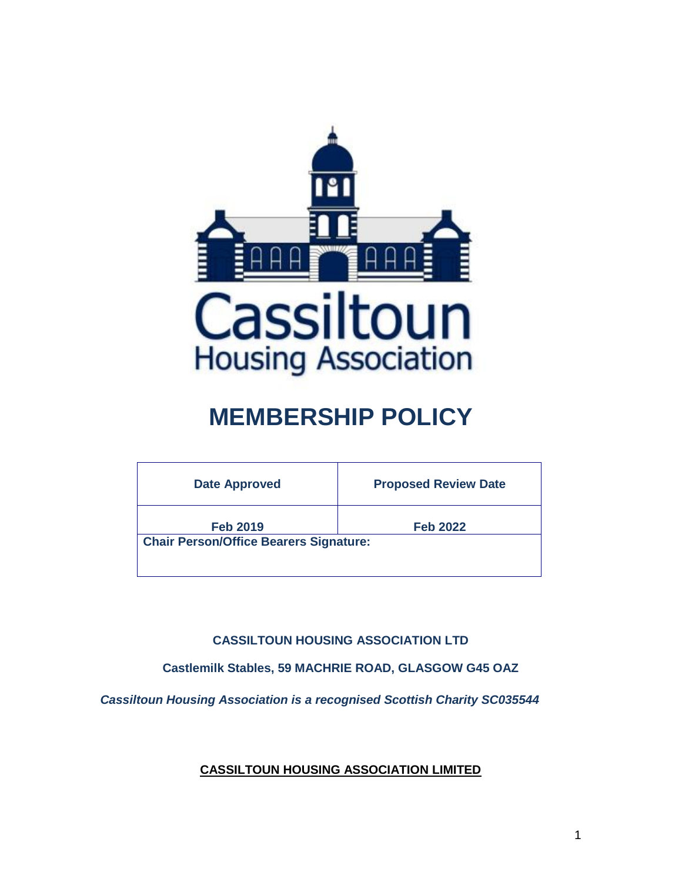

# **MEMBERSHIP POLICY**

| <b>Date Approved</b>                          | <b>Proposed Review Date</b> |
|-----------------------------------------------|-----------------------------|
| <b>Feb 2019</b>                               | <b>Feb 2022</b>             |
| <b>Chair Person/Office Bearers Signature:</b> |                             |
|                                               |                             |

**CASSILTOUN HOUSING ASSOCIATION LTD**

**Castlemilk Stables, 59 MACHRIE ROAD, GLASGOW G45 OAZ**

*Cassiltoun Housing Association is a recognised Scottish Charity SC035544*

**CASSILTOUN HOUSING ASSOCIATION LIMITED**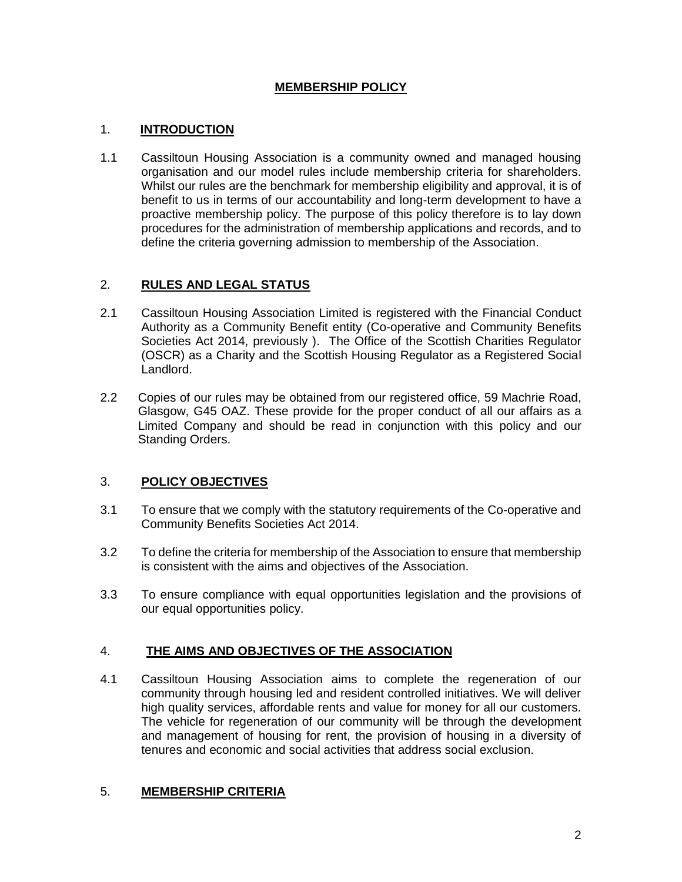# **MEMBERSHIP POLICY**

## 1. **INTRODUCTION**

1.1 Cassiltoun Housing Association is a community owned and managed housing organisation and our model rules include membership criteria for shareholders. Whilst our rules are the benchmark for membership eligibility and approval, it is of benefit to us in terms of our accountability and long-term development to have a proactive membership policy. The purpose of this policy therefore is to lay down procedures for the administration of membership applications and records, and to define the criteria governing admission to membership of the Association.

## 2. **RULES AND LEGAL STATUS**

- 2.1 Cassiltoun Housing Association Limited is registered with the Financial Conduct Authority as a Community Benefit entity (Co-operative and Community Benefits Societies Act 2014, previously ). The Office of the Scottish Charities Regulator (OSCR) as a Charity and the Scottish Housing Regulator as a Registered Social Landlord.
- 2.2 Copies of our rules may be obtained from our registered office, 59 Machrie Road, Glasgow, G45 OAZ. These provide for the proper conduct of all our affairs as a Limited Company and should be read in conjunction with this policy and our Standing Orders.

# 3. **POLICY OBJECTIVES**

- 3.1 To ensure that we comply with the statutory requirements of the Co-operative and Community Benefits Societies Act 2014.
- 3.2 To define the criteria for membership of the Association to ensure that membership is consistent with the aims and objectives of the Association.
- 3.3 To ensure compliance with equal opportunities legislation and the provisions of our equal opportunities policy.

# 4. **THE AIMS AND OBJECTIVES OF THE ASSOCIATION**

4.1 Cassiltoun Housing Association aims to complete the regeneration of our community through housing led and resident controlled initiatives. We will deliver high quality services, affordable rents and value for money for all our customers. The vehicle for regeneration of our community will be through the development and management of housing for rent, the provision of housing in a diversity of tenures and economic and social activities that address social exclusion.

#### 5. **MEMBERSHIP CRITERIA**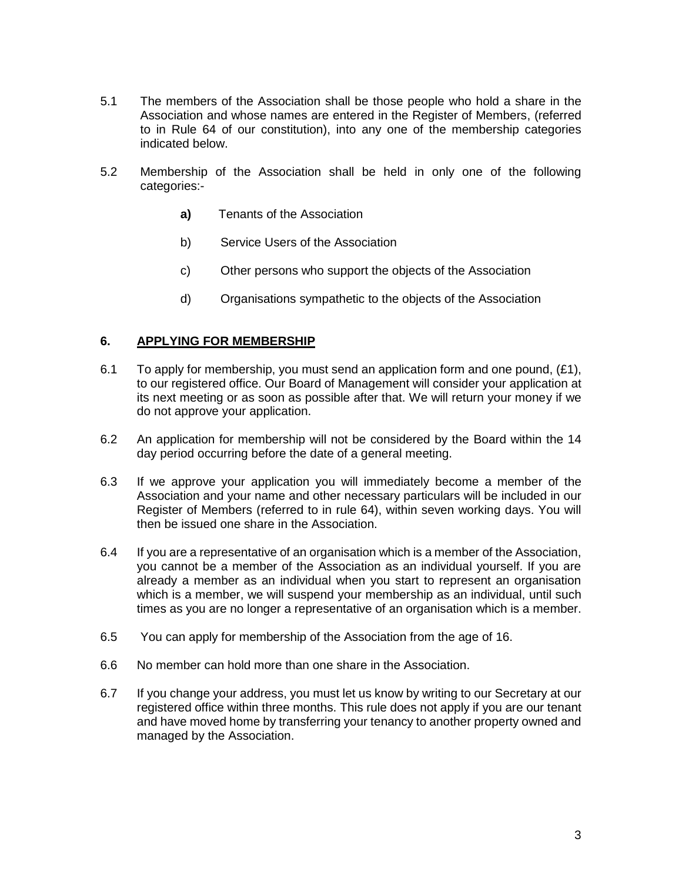- 5.1 The members of the Association shall be those people who hold a share in the Association and whose names are entered in the Register of Members, (referred to in Rule 64 of our constitution), into any one of the membership categories indicated below.
- 5.2 Membership of the Association shall be held in only one of the following categories:
	- **a)** Tenants of the Association
	- b) Service Users of the Association
	- c) Other persons who support the objects of the Association
	- d) Organisations sympathetic to the objects of the Association

## **6. APPLYING FOR MEMBERSHIP**

- 6.1 To apply for membership, you must send an application form and one pound,  $(E1)$ , to our registered office. Our Board of Management will consider your application at its next meeting or as soon as possible after that. We will return your money if we do not approve your application.
- 6.2 An application for membership will not be considered by the Board within the 14 day period occurring before the date of a general meeting.
- 6.3 If we approve your application you will immediately become a member of the Association and your name and other necessary particulars will be included in our Register of Members (referred to in rule 64), within seven working days. You will then be issued one share in the Association.
- 6.4 If you are a representative of an organisation which is a member of the Association, you cannot be a member of the Association as an individual yourself. If you are already a member as an individual when you start to represent an organisation which is a member, we will suspend your membership as an individual, until such times as you are no longer a representative of an organisation which is a member.
- 6.5 You can apply for membership of the Association from the age of 16.
- 6.6 No member can hold more than one share in the Association.
- 6.7 If you change your address, you must let us know by writing to our Secretary at our registered office within three months. This rule does not apply if you are our tenant and have moved home by transferring your tenancy to another property owned and managed by the Association.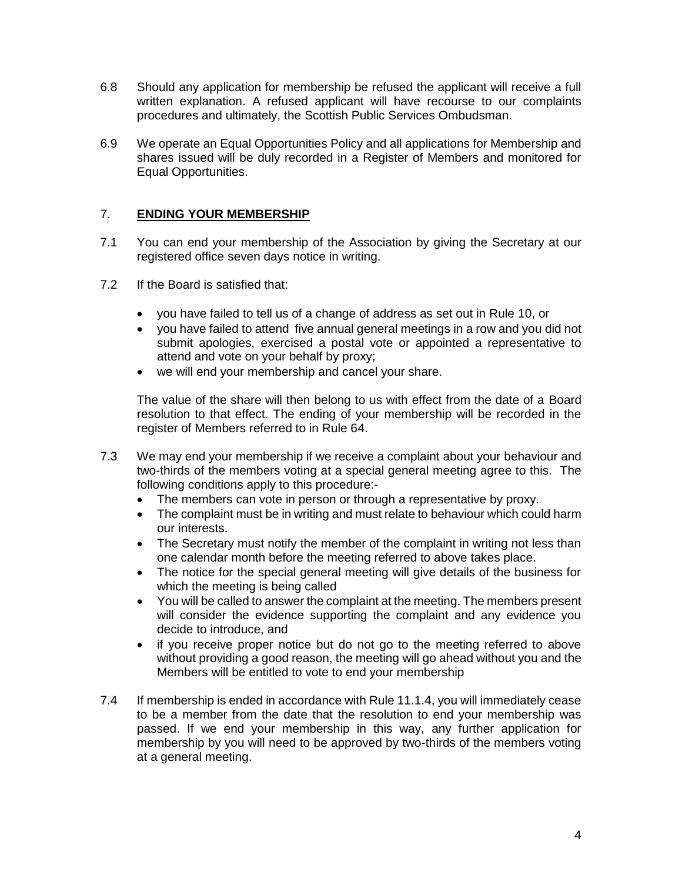- 6.8 Should any application for membership be refused the applicant will receive a full written explanation. A refused applicant will have recourse to our complaints procedures and ultimately, the Scottish Public Services Ombudsman.
- 6.9 We operate an Equal Opportunities Policy and all applications for Membership and shares issued will be duly recorded in a Register of Members and monitored for Equal Opportunities.

## 7. **ENDING YOUR MEMBERSHIP**

- 7.1 You can end your membership of the Association by giving the Secretary at our registered office seven days notice in writing.
- 7.2 If the Board is satisfied that:
	- you have failed to tell us of a change of address as set out in Rule 10, or
	- you have failed to attend five annual general meetings in a row and you did not submit apologies, exercised a postal vote or appointed a representative to attend and vote on your behalf by proxy;
	- we will end your membership and cancel your share.

The value of the share will then belong to us with effect from the date of a Board resolution to that effect. The ending of your membership will be recorded in the register of Members referred to in Rule 64.

- 7.3 We may end your membership if we receive a complaint about your behaviour and two-thirds of the members voting at a special general meeting agree to this. The following conditions apply to this procedure:-
	- The members can vote in person or through a representative by proxy.
	- The complaint must be in writing and must relate to behaviour which could harm our interests.
	- The Secretary must notify the member of the complaint in writing not less than one calendar month before the meeting referred to above takes place.
	- The notice for the special general meeting will give details of the business for which the meeting is being called
	- You will be called to answer the complaint at the meeting. The members present will consider the evidence supporting the complaint and any evidence you decide to introduce, and
	- if you receive proper notice but do not go to the meeting referred to above without providing a good reason, the meeting will go ahead without you and the Members will be entitled to vote to end your membership
- 7.4 If membership is ended in accordance with Rule 11.1.4, you will immediately cease to be a member from the date that the resolution to end your membership was passed. If we end your membership in this way, any further application for membership by you will need to be approved by two-thirds of the members voting at a general meeting.